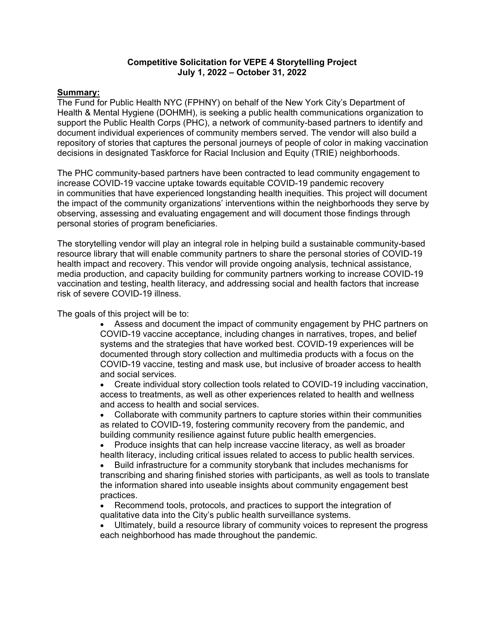# **Competitive Solicitation for VEPE 4 Storytelling Project July 1, 2022 – October 31, 2022**

# **Summary:**

The Fund for Public Health NYC (FPHNY) on behalf of the New York City's Department of Health & Mental Hygiene (DOHMH), is seeking a public health communications organization to support the Public Health Corps (PHC), a network of community-based partners to identify and document individual experiences of community members served. The vendor will also build a repository of stories that captures the personal journeys of people of color in making vaccination decisions in designated Taskforce for Racial Inclusion and Equity (TRIE) neighborhoods.

The PHC community-based partners have been contracted to lead community engagement to increase COVID-19 vaccine uptake towards equitable COVID-19 pandemic recovery in communities that have experienced longstanding health inequities. This project will document the impact of the community organizations' interventions within the neighborhoods they serve by observing, assessing and evaluating engagement and will document those findings through personal stories of program beneficiaries.

The storytelling vendor will play an integral role in helping build a sustainable community-based resource library that will enable community partners to share the personal stories of COVID-19 health impact and recovery. This vendor will provide ongoing analysis, technical assistance, media production, and capacity building for community partners working to increase COVID-19 vaccination and testing, health literacy, and addressing social and health factors that increase risk of severe COVID-19 illness.

The goals of this project will be to:

- Assess and document the impact of community engagement by PHC partners on COVID-19 vaccine acceptance, including changes in narratives, tropes, and belief systems and the strategies that have worked best. COVID-19 experiences will be documented through story collection and multimedia products with a focus on the COVID-19 vaccine, testing and mask use, but inclusive of broader access to health and social services.
- Create individual story collection tools related to COVID-19 including vaccination, access to treatments, as well as other experiences related to health and wellness and access to health and social services.

• Collaborate with community partners to capture stories within their communities as related to COVID-19, fostering community recovery from the pandemic, and building community resilience against future public health emergencies.

• Produce insights that can help increase vaccine literacy, as well as broader health literacy, including critical issues related to access to public health services.

• Build infrastructure for a community storybank that includes mechanisms for transcribing and sharing finished stories with participants, as well as tools to translate the information shared into useable insights about community engagement best practices.

• Recommend tools, protocols, and practices to support the integration of qualitative data into the City's public health surveillance systems.

Ultimately, build a resource library of community voices to represent the progress each neighborhood has made throughout the pandemic.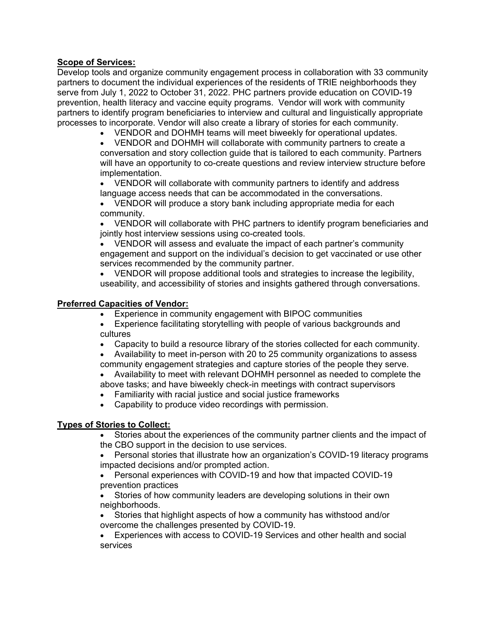# **Scope of Services:**

Develop tools and organize community engagement process in collaboration with 33 community partners to document the individual experiences of the residents of TRIE neighborhoods they serve from July 1, 2022 to October 31, 2022. PHC partners provide education on COVID-19 prevention, health literacy and vaccine equity programs. Vendor will work with community partners to identify program beneficiaries to interview and cultural and linguistically appropriate processes to incorporate. Vendor will also create a library of stories for each community.

• VENDOR and DOHMH teams will meet biweekly for operational updates.

• VENDOR and DOHMH will collaborate with community partners to create a conversation and story collection guide that is tailored to each community. Partners will have an opportunity to co-create questions and review interview structure before implementation.

• VENDOR will collaborate with community partners to identify and address language access needs that can be accommodated in the conversations.

• VENDOR will produce a story bank including appropriate media for each community.

• VENDOR will collaborate with PHC partners to identify program beneficiaries and jointly host interview sessions using co-created tools.

• VENDOR will assess and evaluate the impact of each partner's community engagement and support on the individual's decision to get vaccinated or use other services recommended by the community partner.

• VENDOR will propose additional tools and strategies to increase the legibility, useability, and accessibility of stories and insights gathered through conversations.

#### **Preferred Capacities of Vendor:**

- Experience in community engagement with BIPOC communities
- Experience facilitating storytelling with people of various backgrounds and cultures
- Capacity to build a resource library of the stories collected for each community.
- Availability to meet in-person with 20 to 25 community organizations to assess community engagement strategies and capture stories of the people they serve.
- Availability to meet with relevant DOHMH personnel as needed to complete the above tasks; and have biweekly check-in meetings with contract supervisors
- Familiarity with racial justice and social justice frameworks
- Capability to produce video recordings with permission.

# **Types of Stories to Collect:**

- Stories about the experiences of the community partner clients and the impact of the CBO support in the decision to use services.
- Personal stories that illustrate how an organization's COVID-19 literacy programs impacted decisions and/or prompted action.

• Personal experiences with COVID-19 and how that impacted COVID-19 prevention practices

Stories of how community leaders are developing solutions in their own neighborhoods.

• Stories that highlight aspects of how a community has withstood and/or overcome the challenges presented by COVID-19.

• Experiences with access to COVID-19 Services and other health and social services